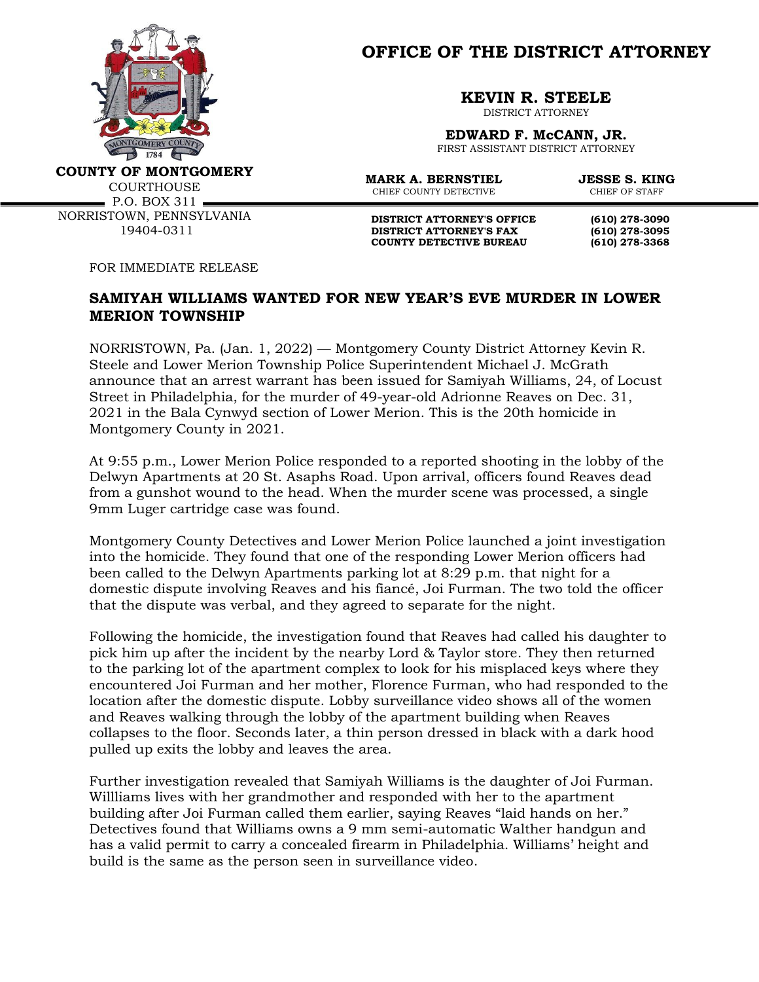

**OFFICE OF THE DISTRICT ATTORNEY**

**KEVIN R. STEELE**

DISTRICT ATTORNEY

**EDWARD F. McCANN, JR.** FIRST ASSISTANT DISTRICT ATTORNEY

**COUNTY OF MONTGOMERY**

**COURTHOUSE**  $\blacksquare$  P.O. BOX 311  $\blacksquare$ 

NORRISTOWN, PENNSYLVANIA 19404-0311

CHIEF COUNTY DETECTIVE

**MARK A. BERNSTIEL JESSE S. KING**<br>CHIEF COUNTY DETECTIVE CHIEF OF STAFF

**DISTRICT ATTORNEY'S OFFICE (610) 278-3090 DISTRICT ATTORNEY'S FAX (610) 278-3095 COUNTY DETECTIVE BUREAU (610) 278-3368**

FOR IMMEDIATE RELEASE

## **SAMIYAH WILLIAMS WANTED FOR NEW YEAR'S EVE MURDER IN LOWER MERION TOWNSHIP**

NORRISTOWN, Pa. (Jan. 1, 2022) — Montgomery County District Attorney Kevin R. Steele and Lower Merion Township Police Superintendent Michael J. McGrath announce that an arrest warrant has been issued for Samiyah Williams, 24, of Locust Street in Philadelphia, for the murder of 49-year-old Adrionne Reaves on Dec. 31, 2021 in the Bala Cynwyd section of Lower Merion. This is the 20th homicide in Montgomery County in 2021.

At 9:55 p.m., Lower Merion Police responded to a reported shooting in the lobby of the Delwyn Apartments at 20 St. Asaphs Road. Upon arrival, officers found Reaves dead from a gunshot wound to the head. When the murder scene was processed, a single 9mm Luger cartridge case was found.

Montgomery County Detectives and Lower Merion Police launched a joint investigation into the homicide. They found that one of the responding Lower Merion officers had been called to the Delwyn Apartments parking lot at 8:29 p.m. that night for a domestic dispute involving Reaves and his fiancé, Joi Furman. The two told the officer that the dispute was verbal, and they agreed to separate for the night.

Following the homicide, the investigation found that Reaves had called his daughter to pick him up after the incident by the nearby Lord & Taylor store. They then returned to the parking lot of the apartment complex to look for his misplaced keys where they encountered Joi Furman and her mother, Florence Furman, who had responded to the location after the domestic dispute. Lobby surveillance video shows all of the women and Reaves walking through the lobby of the apartment building when Reaves collapses to the floor. Seconds later, a thin person dressed in black with a dark hood pulled up exits the lobby and leaves the area.

Further investigation revealed that Samiyah Williams is the daughter of Joi Furman. Willliams lives with her grandmother and responded with her to the apartment building after Joi Furman called them earlier, saying Reaves "laid hands on her." Detectives found that Williams owns a 9 mm semi-automatic Walther handgun and has a valid permit to carry a concealed firearm in Philadelphia. Williams' height and build is the same as the person seen in surveillance video.